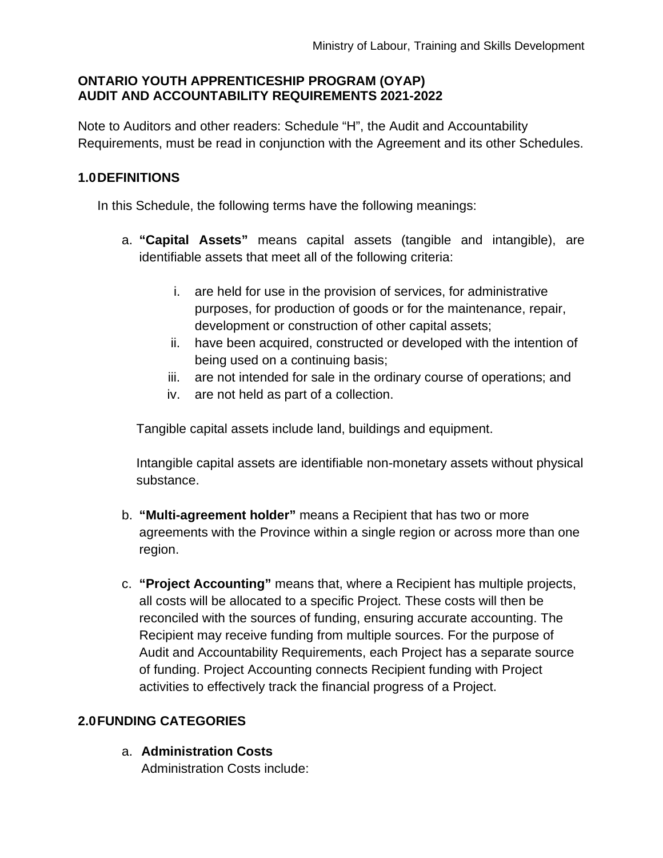## **ONTARIO YOUTH APPRENTICESHIP PROGRAM (OYAP) AUDIT AND ACCOUNTABILITY REQUIREMENTS 2021-2022**

Note to Auditors and other readers: Schedule "H", the Audit and Accountability Requirements, must be read in conjunction with the Agreement and its other Schedules.

# **1.0DEFINITIONS**

In this Schedule, the following terms have the following meanings:

- a. **"Capital Assets"** means capital assets (tangible and intangible), are identifiable assets that meet all of the following criteria:
	- i. are held for use in the provision of services, for administrative purposes, for production of goods or for the maintenance, repair, development or construction of other capital assets;
	- ii. have been acquired, constructed or developed with the intention of being used on a continuing basis;
	- iii. are not intended for sale in the ordinary course of operations; and
	- iv. are not held as part of a collection.

Tangible capital assets include land, buildings and equipment.

Intangible capital assets are identifiable non-monetary assets without physical substance.

- b. **"Multi-agreement holder"** means a Recipient that has two or more agreements with the Province within a single region or across more than one region.
- c. **"Project Accounting"** means that, where a Recipient has multiple projects, all costs will be allocated to a specific Project. These costs will then be reconciled with the sources of funding, ensuring accurate accounting. The Recipient may receive funding from multiple sources. For the purpose of Audit and Accountability Requirements, each Project has a separate source of funding. Project Accounting connects Recipient funding with Project activities to effectively track the financial progress of a Project.

# **2.0FUNDING CATEGORIES**

a. **Administration Costs** Administration Costs include: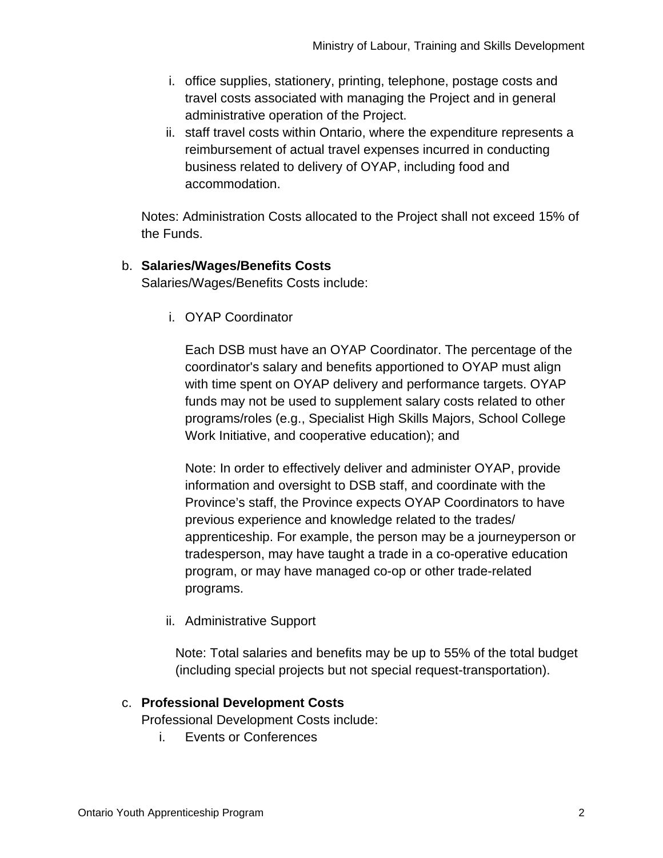- i. office supplies, stationery, printing, telephone, postage costs and travel costs associated with managing the Project and in general administrative operation of the Project.
- ii. staff travel costs within Ontario, where the expenditure represents a reimbursement of actual travel expenses incurred in conducting business related to delivery of OYAP, including food and accommodation.

Notes: Administration Costs allocated to the Project shall not exceed 15% of the Funds.

## b. **Salaries/Wages/Benefits Costs**

Salaries/Wages/Benefits Costs include:

i. OYAP Coordinator

Each DSB must have an OYAP Coordinator. The percentage of the coordinator's salary and benefits apportioned to OYAP must align with time spent on OYAP delivery and performance targets. OYAP funds may not be used to supplement salary costs related to other programs/roles (e.g., Specialist High Skills Majors, School College Work Initiative, and cooperative education); and

Note: In order to effectively deliver and administer OYAP, provide information and oversight to DSB staff, and coordinate with the Province's staff, the Province expects OYAP Coordinators to have previous experience and knowledge related to the trades/ apprenticeship. For example, the person may be a journeyperson or tradesperson, may have taught a trade in a co-operative education program, or may have managed co-op or other trade-related programs.

ii. Administrative Support

Note: Total salaries and benefits may be up to 55% of the total budget (including special projects but not special request-transportation).

## c. **Professional Development Costs**

Professional Development Costs include:

i. Events or Conferences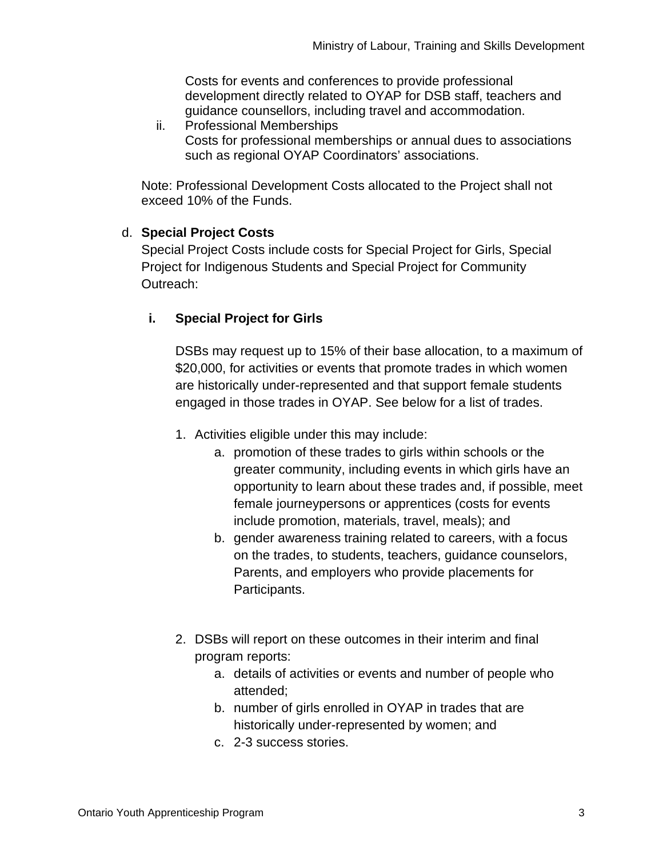Costs for events and conferences to provide professional development directly related to OYAP for DSB staff, teachers and guidance counsellors, including travel and accommodation.

ii. Professional Memberships Costs for professional memberships or annual dues to associations such as regional OYAP Coordinators' associations.

Note: Professional Development Costs allocated to the Project shall not exceed 10% of the Funds.

# d. **Special Project Costs**

Special Project Costs include costs for Special Project for Girls, Special Project for Indigenous Students and Special Project for Community Outreach:

# **i. Special Project for Girls**

DSBs may request up to 15% of their base allocation, to a maximum of \$20,000, for activities or events that promote trades in which women are historically under-represented and that support female students engaged in those trades in OYAP. See below for a list of trades.

- 1. Activities eligible under this may include:
	- a. promotion of these trades to girls within schools or the greater community, including events in which girls have an opportunity to learn about these trades and, if possible, meet female journeypersons or apprentices (costs for events include promotion, materials, travel, meals); and
	- b. gender awareness training related to careers, with a focus on the trades, to students, teachers, guidance counselors, Parents, and employers who provide placements for Participants.
- 2. DSBs will report on these outcomes in their interim and final program reports:
	- a. details of activities or events and number of people who attended;
	- b. number of girls enrolled in OYAP in trades that are historically under-represented by women; and
	- c. 2-3 success stories.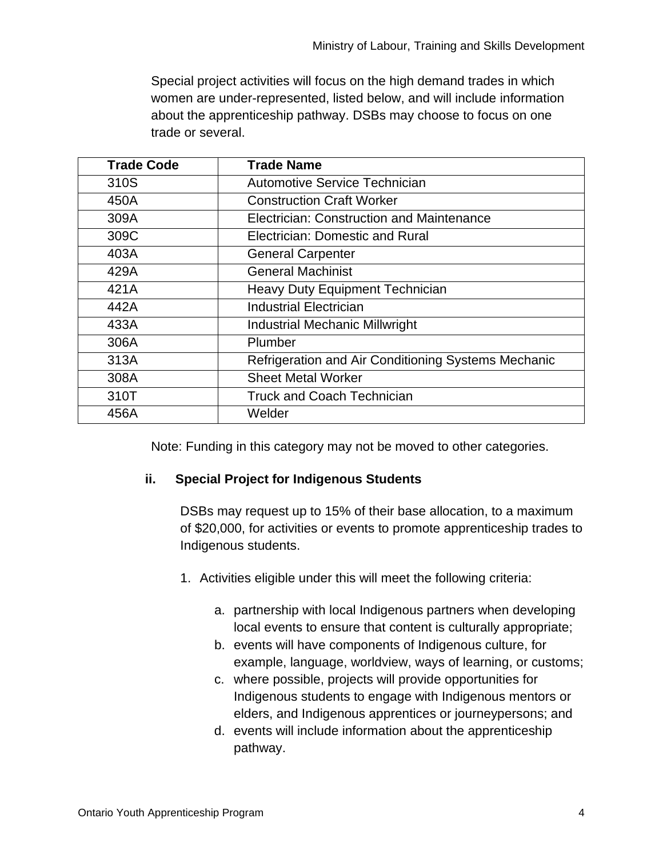Special project activities will focus on the high demand trades in which women are under-represented, listed below, and will include information about the apprenticeship pathway. DSBs may choose to focus on one trade or several.

| <b>Trade Code</b> | <b>Trade Name</b>                                   |
|-------------------|-----------------------------------------------------|
| 310S              | Automotive Service Technician                       |
| 450A              | <b>Construction Craft Worker</b>                    |
| 309A              | Electrician: Construction and Maintenance           |
| 309C              | Electrician: Domestic and Rural                     |
| 403A              | <b>General Carpenter</b>                            |
| 429A              | <b>General Machinist</b>                            |
| 421A              | <b>Heavy Duty Equipment Technician</b>              |
| 442A              | <b>Industrial Electrician</b>                       |
| 433A              | <b>Industrial Mechanic Millwright</b>               |
| 306A              | Plumber                                             |
| 313A              | Refrigeration and Air Conditioning Systems Mechanic |
| 308A              | <b>Sheet Metal Worker</b>                           |
| 310T              | <b>Truck and Coach Technician</b>                   |
| 456A              | Welder                                              |

Note: Funding in this category may not be moved to other categories.

## **ii. Special Project for Indigenous Students**

DSBs may request up to 15% of their base allocation, to a maximum of \$20,000, for activities or events to promote apprenticeship trades to Indigenous students.

- 1. Activities eligible under this will meet the following criteria:
	- a. partnership with local Indigenous partners when developing local events to ensure that content is culturally appropriate;
	- b. events will have components of Indigenous culture, for example, language, worldview, ways of learning, or customs;
	- c. where possible, projects will provide opportunities for Indigenous students to engage with Indigenous mentors or elders, and Indigenous apprentices or journeypersons; and
	- d. events will include information about the apprenticeship pathway.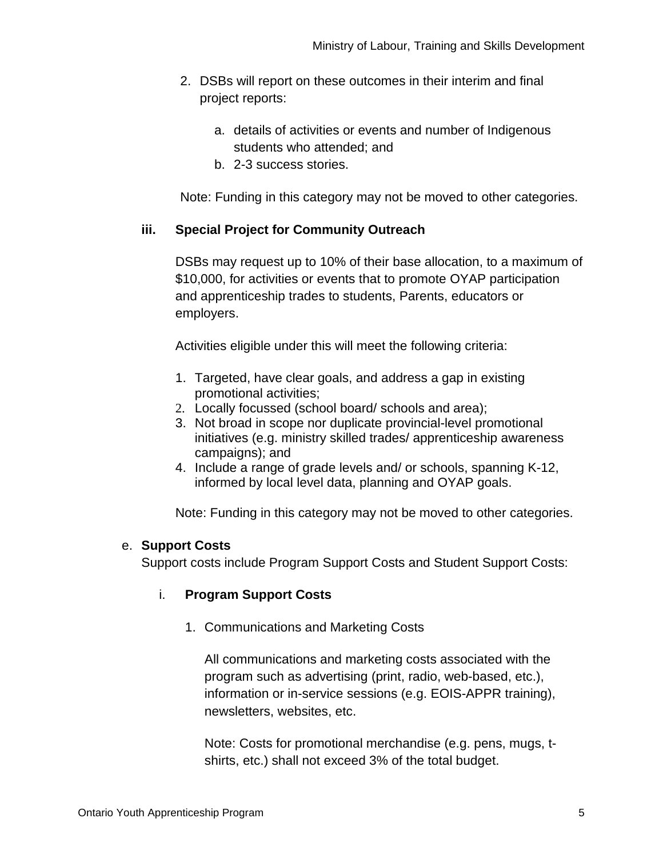- 2. DSBs will report on these outcomes in their interim and final project reports:
	- a. details of activities or events and number of Indigenous students who attended; and
	- b. 2-3 success stories.

Note: Funding in this category may not be moved to other categories.

# **iii. Special Project for Community Outreach**

DSBs may request up to 10% of their base allocation, to a maximum of \$10,000, for activities or events that to promote OYAP participation and apprenticeship trades to students, Parents, educators or employers.

Activities eligible under this will meet the following criteria:

- 1. Targeted, have clear goals, and address a gap in existing promotional activities;
- 2. Locally focussed (school board/ schools and area);
- 3. Not broad in scope nor duplicate provincial-level promotional initiatives (e.g. ministry skilled trades/ apprenticeship awareness campaigns); and
- 4. Include a range of grade levels and/ or schools, spanning K-12, informed by local level data, planning and OYAP goals.

Note: Funding in this category may not be moved to other categories.

## e. **Support Costs**

Support costs include Program Support Costs and Student Support Costs:

## i. **Program Support Costs**

1. Communications and Marketing Costs

All communications and marketing costs associated with the program such as advertising (print, radio, web-based, etc.), information or in-service sessions (e.g. EOIS-APPR training), newsletters, websites, etc.

Note: Costs for promotional merchandise (e.g. pens, mugs, tshirts, etc.) shall not exceed 3% of the total budget.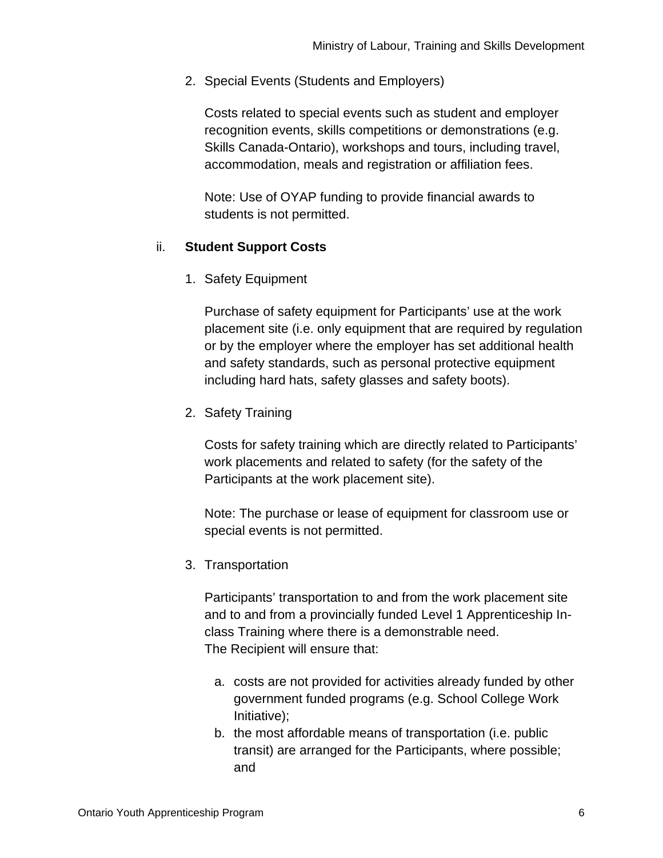2. Special Events (Students and Employers)

Costs related to special events such as student and employer recognition events, skills competitions or demonstrations (e.g. Skills Canada-Ontario), workshops and tours, including travel, accommodation, meals and registration or affiliation fees.

Note: Use of OYAP funding to provide financial awards to students is not permitted.

## ii. **Student Support Costs**

1. Safety Equipment

Purchase of safety equipment for Participants' use at the work placement site (i.e. only equipment that are required by regulation or by the employer where the employer has set additional health and safety standards, such as personal protective equipment including hard hats, safety glasses and safety boots).

2. Safety Training

Costs for safety training which are directly related to Participants' work placements and related to safety (for the safety of the Participants at the work placement site).

Note: The purchase or lease of equipment for classroom use or special events is not permitted.

3. Transportation

Participants' transportation to and from the work placement site and to and from a provincially funded Level 1 Apprenticeship Inclass Training where there is a demonstrable need. The Recipient will ensure that:

- a. costs are not provided for activities already funded by other government funded programs (e.g. School College Work Initiative);
- b. the most affordable means of transportation (i.e. public transit) are arranged for the Participants, where possible; and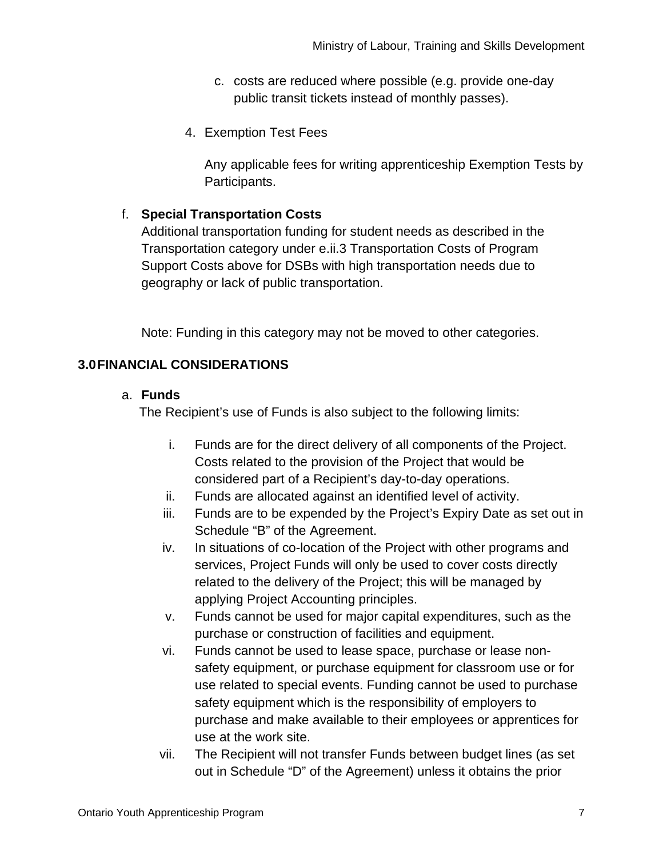- c. costs are reduced where possible (e.g. provide one-day public transit tickets instead of monthly passes).
- 4. Exemption Test Fees

Any applicable fees for writing apprenticeship Exemption Tests by Participants.

# f. **Special Transportation Costs**

Additional transportation funding for student needs as described in the Transportation category under e.ii.3 Transportation Costs of Program Support Costs above for DSBs with high transportation needs due to geography or lack of public transportation.

Note: Funding in this category may not be moved to other categories.

# **3.0FINANCIAL CONSIDERATIONS**

#### a. **Funds**

The Recipient's use of Funds is also subject to the following limits:

- i. Funds are for the direct delivery of all components of the Project. Costs related to the provision of the Project that would be considered part of a Recipient's day-to-day operations.
- ii. Funds are allocated against an identified level of activity.
- iii. Funds are to be expended by the Project's Expiry Date as set out in Schedule "B" of the Agreement.
- iv. In situations of co-location of the Project with other programs and services, Project Funds will only be used to cover costs directly related to the delivery of the Project; this will be managed by applying Project Accounting principles.
- v. Funds cannot be used for major capital expenditures, such as the purchase or construction of facilities and equipment.
- vi. Funds cannot be used to lease space, purchase or lease nonsafety equipment, or purchase equipment for classroom use or for use related to special events. Funding cannot be used to purchase safety equipment which is the responsibility of employers to purchase and make available to their employees or apprentices for use at the work site.
- vii. The Recipient will not transfer Funds between budget lines (as set out in Schedule "D" of the Agreement) unless it obtains the prior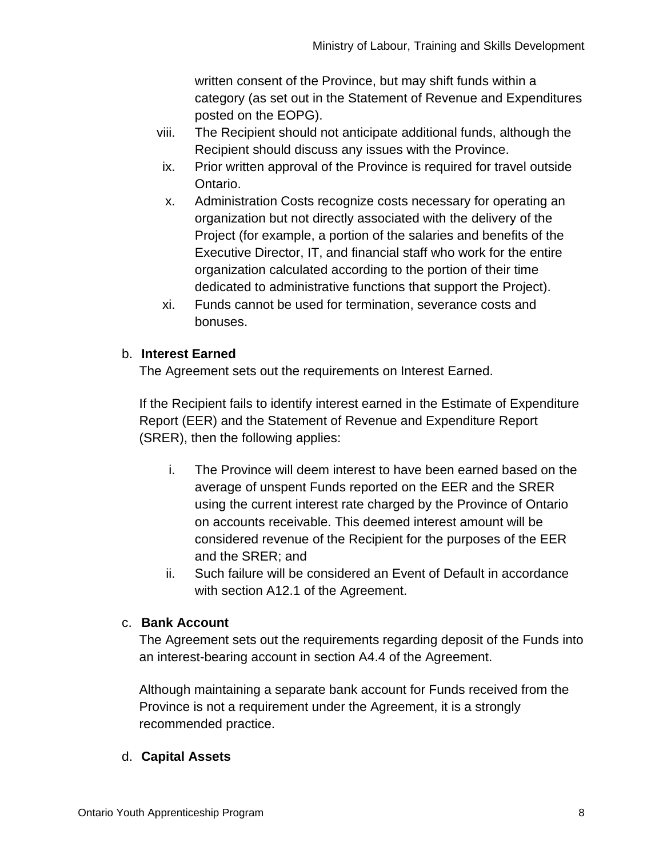written consent of the Province, but may shift funds within a category (as set out in the Statement of Revenue and Expenditures posted on the EOPG).

- viii. The Recipient should not anticipate additional funds, although the Recipient should discuss any issues with the Province.
- ix. Prior written approval of the Province is required for travel outside Ontario.
- x. Administration Costs recognize costs necessary for operating an organization but not directly associated with the delivery of the Project (for example, a portion of the salaries and benefits of the Executive Director, IT, and financial staff who work for the entire organization calculated according to the portion of their time dedicated to administrative functions that support the Project).
- xi. Funds cannot be used for termination, severance costs and bonuses.

# b. **Interest Earned**

The Agreement sets out the requirements on Interest Earned.

If the Recipient fails to identify interest earned in the Estimate of Expenditure Report (EER) and the Statement of Revenue and Expenditure Report (SRER), then the following applies:

- i. The Province will deem interest to have been earned based on the average of unspent Funds reported on the EER and the SRER using the current interest rate charged by the Province of Ontario on accounts receivable. This deemed interest amount will be considered revenue of the Recipient for the purposes of the EER and the SRER; and
- ii. Such failure will be considered an Event of Default in accordance with section A12.1 of the Agreement.

## c. **Bank Account**

The Agreement sets out the requirements regarding deposit of the Funds into an interest-bearing account in section A4.4 of the Agreement.

Although maintaining a separate bank account for Funds received from the Province is not a requirement under the Agreement, it is a strongly recommended practice.

## d. **Capital Assets**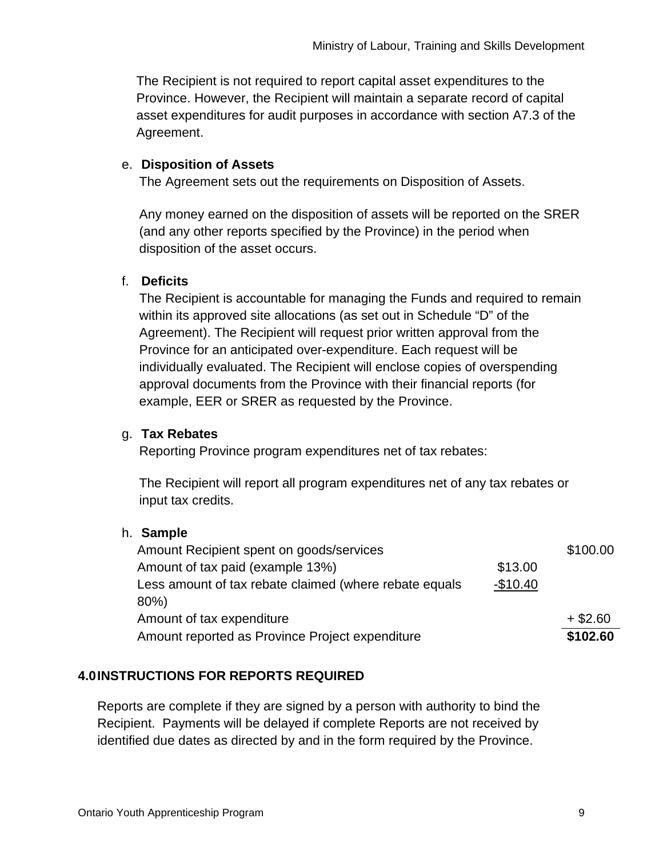The Recipient is not required to report capital asset expenditures to the Province. However, the Recipient will maintain a separate record of capital asset expenditures for audit purposes in accordance with section A7.3 of the Agreement.

## e. **Disposition of Assets**

The Agreement sets out the requirements on Disposition of Assets.

Any money earned on the disposition of assets will be reported on the SRER (and any other reports specified by the Province) in the period when disposition of the asset occurs.

# f. **Deficits**

The Recipient is accountable for managing the Funds and required to remain within its approved site allocations (as set out in Schedule "D" of the Agreement). The Recipient will request prior written approval from the Province for an anticipated over-expenditure. Each request will be individually evaluated. The Recipient will enclose copies of overspending approval documents from the Province with their financial reports (for example, EER or SRER as requested by the Province.

# g. **Tax Rebates**

Reporting Province program expenditures net of tax rebates:

The Recipient will report all program expenditures net of any tax rebates or input tax credits.

## h. **Sample**

| Amount Recipient spent on goods/services                            |         | \$100.00 |
|---------------------------------------------------------------------|---------|----------|
| Amount of tax paid (example 13%)                                    | \$13.00 |          |
| Less amount of tax rebate claimed (where rebate equals<br>$-$10.40$ |         |          |
| 80%)                                                                |         |          |
| Amount of tax expenditure                                           |         |          |
| Amount reported as Province Project expenditure                     |         |          |

# **4.0INSTRUCTIONS FOR REPORTS REQUIRED**

Reports are complete if they are signed by a person with authority to bind the Recipient. Payments will be delayed if complete Reports are not received by identified due dates as directed by and in the form required by the Province.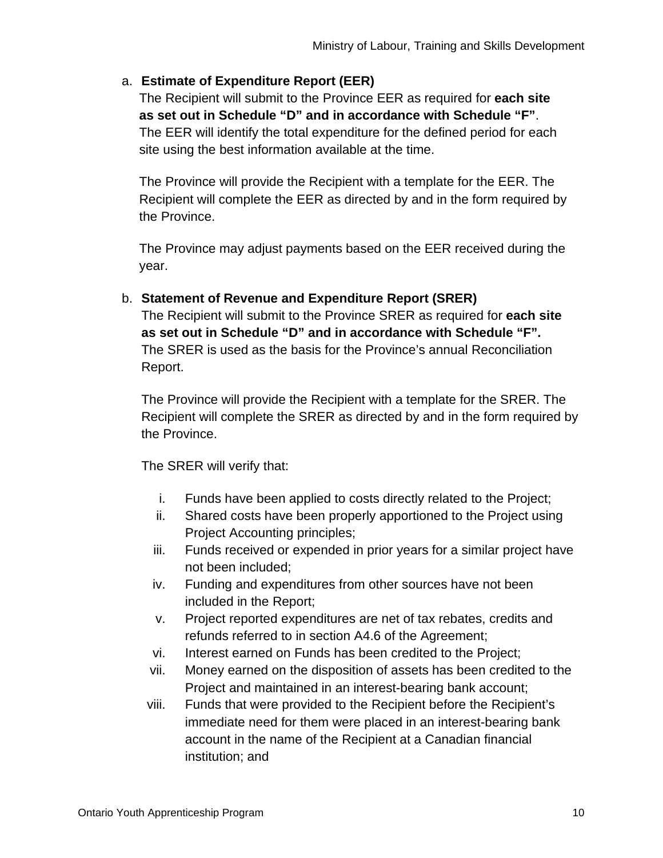## a. **Estimate of Expenditure Report (EER)**

The Recipient will submit to the Province EER as required for **each site as set out in Schedule "D" and in accordance with Schedule "F"**. The EER will identify the total expenditure for the defined period for each site using the best information available at the time.

The Province will provide the Recipient with a template for the EER. The Recipient will complete the EER as directed by and in the form required by the Province.

The Province may adjust payments based on the EER received during the year.

b. **Statement of Revenue and Expenditure Report (SRER)**  The Recipient will submit to the Province SRER as required for **each site as set out in Schedule "D" and in accordance with Schedule "F".** The SRER is used as the basis for the Province's annual Reconciliation Report.

The Province will provide the Recipient with a template for the SRER. The Recipient will complete the SRER as directed by and in the form required by the Province.

The SRER will verify that:

- i. Funds have been applied to costs directly related to the Project;
- ii. Shared costs have been properly apportioned to the Project using Project Accounting principles;
- iii. Funds received or expended in prior years for a similar project have not been included;
- iv. Funding and expenditures from other sources have not been included in the Report;
- v. Project reported expenditures are net of tax rebates, credits and refunds referred to in section A4.6 of the Agreement;
- vi. Interest earned on Funds has been credited to the Project;
- vii. Money earned on the disposition of assets has been credited to the Project and maintained in an interest-bearing bank account;
- viii. Funds that were provided to the Recipient before the Recipient's immediate need for them were placed in an interest-bearing bank account in the name of the Recipient at a Canadian financial institution; and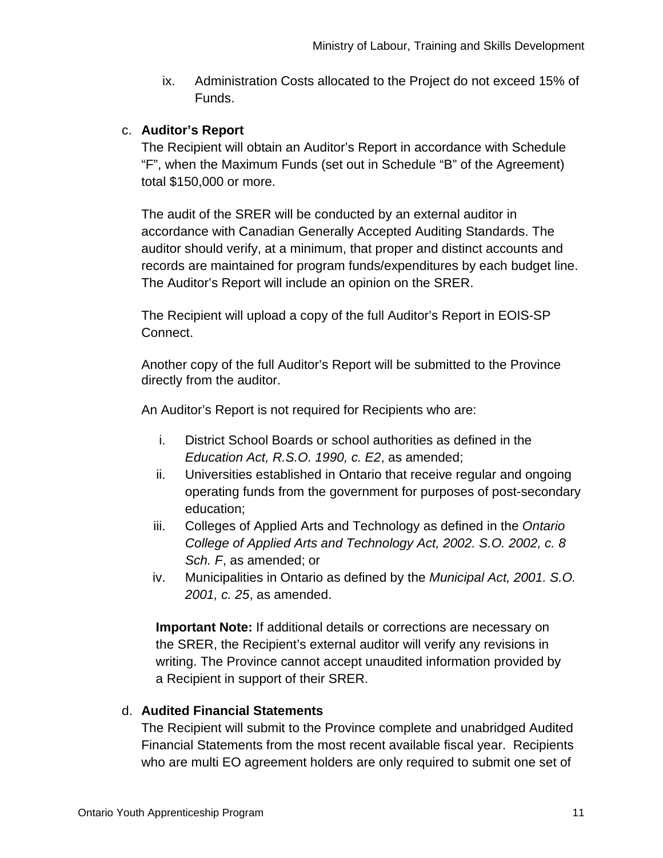ix. Administration Costs allocated to the Project do not exceed 15% of Funds.

## c. **Auditor's Report**

The Recipient will obtain an Auditor's Report in accordance with Schedule "F", when the Maximum Funds (set out in Schedule "B" of the Agreement) total \$150,000 or more.

The audit of the SRER will be conducted by an external auditor in accordance with Canadian Generally Accepted Auditing Standards. The auditor should verify, at a minimum, that proper and distinct accounts and records are maintained for program funds/expenditures by each budget line. The Auditor's Report will include an opinion on the SRER.

The Recipient will upload a copy of the full Auditor's Report in EOIS-SP Connect.

Another copy of the full Auditor's Report will be submitted to the Province directly from the auditor.

An Auditor's Report is not required for Recipients who are:

- i. District School Boards or school authorities as defined in the *Education Act, R.S.O. 1990, c. E2*, as amended;
- ii. Universities established in Ontario that receive regular and ongoing operating funds from the government for purposes of post-secondary education;
- iii. Colleges of Applied Arts and Technology as defined in the *Ontario College of Applied Arts and Technology Act, 2002. S.O. 2002, c. 8 Sch. F*, as amended; or
- iv. Municipalities in Ontario as defined by the *Municipal Act, 2001. S.O. 2001, c. 25*, as amended.

**Important Note:** If additional details or corrections are necessary on the SRER, the Recipient's external auditor will verify any revisions in writing. The Province cannot accept unaudited information provided by a Recipient in support of their SRER.

# d. **Audited Financial Statements**

The Recipient will submit to the Province complete and unabridged Audited Financial Statements from the most recent available fiscal year. Recipients who are multi EO agreement holders are only required to submit one set of